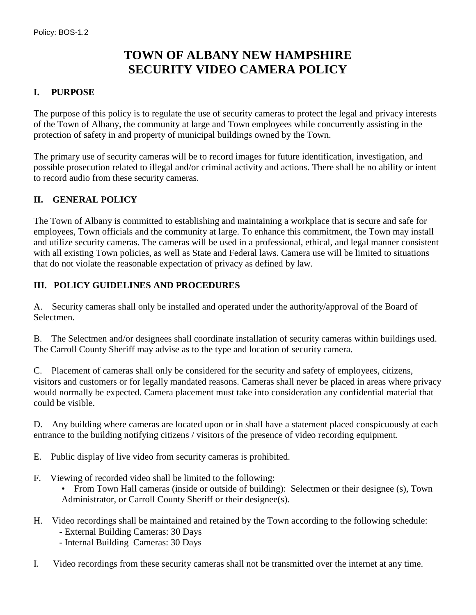# **TOWN OF ALBANY NEW HAMPSHIRE SECURITY VIDEO CAMERA POLICY**

### **I. PURPOSE**

The purpose of this policy is to regulate the use of security cameras to protect the legal and privacy interests of the Town of Albany, the community at large and Town employees while concurrently assisting in the protection of safety in and property of municipal buildings owned by the Town.

The primary use of security cameras will be to record images for future identification, investigation, and possible prosecution related to illegal and/or criminal activity and actions. There shall be no ability or intent to record audio from these security cameras.

### **II. GENERAL POLICY**

The Town of Albany is committed to establishing and maintaining a workplace that is secure and safe for employees, Town officials and the community at large. To enhance this commitment, the Town may install and utilize security cameras. The cameras will be used in a professional, ethical, and legal manner consistent with all existing Town policies, as well as State and Federal laws. Camera use will be limited to situations that do not violate the reasonable expectation of privacy as defined by law.

#### **III. POLICY GUIDELINES AND PROCEDURES**

A. Security cameras shall only be installed and operated under the authority/approval of the Board of Selectmen.

B. The Selectmen and/or designees shall coordinate installation of security cameras within buildings used. The Carroll County Sheriff may advise as to the type and location of security camera.

C. Placement of cameras shall only be considered for the security and safety of employees, citizens, visitors and customers or for legally mandated reasons. Cameras shall never be placed in areas where privacy would normally be expected. Camera placement must take into consideration any confidential material that could be visible.

D. Any building where cameras are located upon or in shall have a statement placed conspicuously at each entrance to the building notifying citizens / visitors of the presence of video recording equipment.

- E. Public display of live video from security cameras is prohibited.
- F. Viewing of recorded video shall be limited to the following:
	- From Town Hall cameras (inside or outside of building): Selectmen or their designee (s), Town Administrator, or Carroll County Sheriff or their designee(s).
- H. Video recordings shall be maintained and retained by the Town according to the following schedule:
	- External Building Cameras: 30 Days
	- Internal Building Cameras: 30 Days
- I. Video recordings from these security cameras shall not be transmitted over the internet at any time.